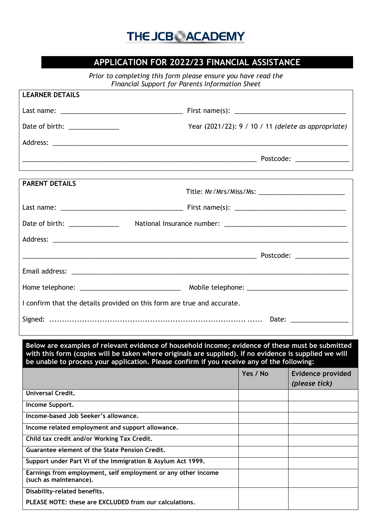## **THE JCBOACADEMY**

## **APPLICATION FOR 2022/23 FINANCIAL ASSISTANCE**

*Prior to completing this form please ensure you have read the Financial Support for Parents Information Sheet*

| <b>LEARNER DETAILS</b>                                                                                                                                                                                                                                                                                   |                                                     |                                           |
|----------------------------------------------------------------------------------------------------------------------------------------------------------------------------------------------------------------------------------------------------------------------------------------------------------|-----------------------------------------------------|-------------------------------------------|
|                                                                                                                                                                                                                                                                                                          |                                                     |                                           |
| Date of birth: ______________                                                                                                                                                                                                                                                                            | Year (2021/22): 9 / 10 / 11 (delete as appropriate) |                                           |
|                                                                                                                                                                                                                                                                                                          |                                                     |                                           |
|                                                                                                                                                                                                                                                                                                          |                                                     |                                           |
| ,我们也不会有什么。""我们的人,我们也不会有什么?""我们的人,我们也不会有什么?""我们的人,我们也不会有什么?""我们的人,我们也不会有什么?""我们的人                                                                                                                                                                                                                         |                                                     |                                           |
| <b>PARENT DETAILS</b>                                                                                                                                                                                                                                                                                    |                                                     |                                           |
|                                                                                                                                                                                                                                                                                                          |                                                     |                                           |
| Date of birth: ______________                                                                                                                                                                                                                                                                            |                                                     |                                           |
|                                                                                                                                                                                                                                                                                                          |                                                     |                                           |
|                                                                                                                                                                                                                                                                                                          |                                                     |                                           |
|                                                                                                                                                                                                                                                                                                          |                                                     |                                           |
|                                                                                                                                                                                                                                                                                                          |                                                     |                                           |
| I confirm that the details provided on this form are true and accurate.                                                                                                                                                                                                                                  |                                                     |                                           |
|                                                                                                                                                                                                                                                                                                          |                                                     |                                           |
|                                                                                                                                                                                                                                                                                                          |                                                     |                                           |
| Below are examples of relevant evidence of household income; evidence of these must be submitted<br>with this form (copies will be taken where originals are supplied). If no evidence is supplied we will<br>be unable to process your application. Please confirm if you receive any of the following: |                                                     |                                           |
|                                                                                                                                                                                                                                                                                                          | Yes / No                                            | <b>Evidence provided</b><br>(please tick) |
| <b>Universal Credit.</b>                                                                                                                                                                                                                                                                                 |                                                     |                                           |
| Income Support.                                                                                                                                                                                                                                                                                          |                                                     |                                           |
| Income-based Job Seeker's allowance.                                                                                                                                                                                                                                                                     |                                                     |                                           |
| Income related employment and support allowance.                                                                                                                                                                                                                                                         |                                                     |                                           |
| Child tax credit and/or Working Tax Credit.                                                                                                                                                                                                                                                              |                                                     |                                           |
| <b>Guarantee element of the State Pension Credit.</b>                                                                                                                                                                                                                                                    |                                                     |                                           |
| Support under Part VI of the Immigration & Asylum Act 1999.                                                                                                                                                                                                                                              |                                                     |                                           |
| Earnings from employment, self employment or any other income<br>(such as maintenance).                                                                                                                                                                                                                  |                                                     |                                           |
| Disability-related benefits.                                                                                                                                                                                                                                                                             |                                                     |                                           |
| PLEASE NOTE: these are EXCLUDED from our calculations.                                                                                                                                                                                                                                                   |                                                     |                                           |